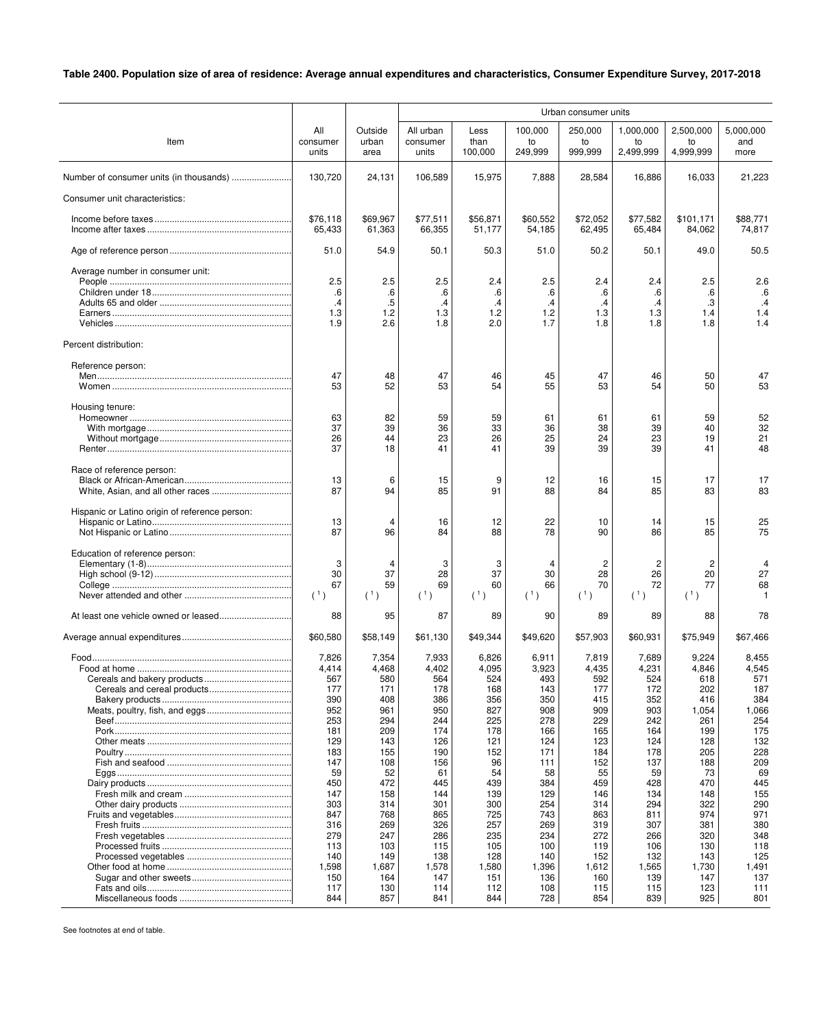## **Table 2400. Population size of area of residence: Average annual expenditures and characteristics, Consumer Expenditure Survey, 2017-2018**

|                                                |            |              | Urban consumer units |                     |                 |                      |                      |                      |              |
|------------------------------------------------|------------|--------------|----------------------|---------------------|-----------------|----------------------|----------------------|----------------------|--------------|
|                                                | All        | Outside      | All urban            | Less                | 100,000         | 250,000              | 1,000,000            | 2,500,000            | 5,000,000    |
| Item                                           | consumer   | urban        | consumer             | than                | to              | to                   | to                   | to                   | and          |
|                                                | units      | area         | units                | 100,000             | 249,999         | 999,999              | 2,499,999            | 4,999,999            | more         |
|                                                | 130.720    | 24,131       | 106,589              | 15,975              | 7,888           | 28,584               | 16,886               | 16,033               | 21,223       |
|                                                |            |              |                      |                     |                 |                      |                      |                      |              |
| Consumer unit characteristics:                 |            |              |                      |                     |                 |                      |                      |                      |              |
|                                                | \$76,118   | \$69,967     | \$77,511             | \$56,871            | \$60,552        | \$72,052             | \$77,582             | \$101,171            | \$88,771     |
|                                                | 65,433     | 61,363       | 66,355               | 51,177              | 54,185          | 62,495               | 65,484               | 84,062               | 74,817       |
|                                                | 51.0       | 54.9         | 50.1                 | 50.3                | 51.0            | 50.2                 | 50.1                 | 49.0                 | 50.5         |
| Average number in consumer unit:               |            |              |                      |                     |                 |                      |                      |                      |              |
|                                                | 2.5        | 2.5          | 2.5                  | 2.4                 | 2.5             | 2.4                  | 2.4                  | 2.5                  | 2.6          |
|                                                | .6<br>.4   | .6<br>$.5\,$ | .6                   | .6<br>$\mathcal{A}$ | .6<br>$\cdot$ 4 | .6                   | .6                   | .6<br>.3             | .6<br>.4     |
|                                                | 1.3        | 1.2          | .4<br>1.3            | 1.2                 | 1.2             | $\cdot$<br>1.3       | $\cdot$<br>1.3       | 1.4                  | 1.4          |
|                                                | 1.9        | 2.6          | 1.8                  | 2.0                 | 1.7             | 1.8                  | 1.8                  | 1.8                  | 1.4          |
| Percent distribution:                          |            |              |                      |                     |                 |                      |                      |                      |              |
| Reference person:                              |            |              |                      |                     |                 |                      |                      |                      |              |
|                                                | 47         | 48           | 47                   | 46                  | 45              | 47                   | 46                   | 50                   | 47           |
|                                                | 53         | 52           | 53                   | 54                  | 55              | 53                   | 54                   | 50                   | 53           |
| Housing tenure:                                |            |              |                      |                     |                 |                      |                      |                      |              |
|                                                | 63<br>37   | 82           | 59                   | 59                  | 61              | 61<br>38             | 61                   | 59                   | 52<br>32     |
|                                                | 26         | 39<br>44     | 36<br>23             | 33<br>26            | 36<br>25        | 24                   | 39<br>23             | 40<br>19             | 21           |
|                                                | 37         | 18           | 41                   | 41                  | 39              | 39                   | 39                   | 41                   | 48           |
|                                                |            |              |                      |                     |                 |                      |                      |                      |              |
| Race of reference person:                      | 13         | 6            | 15                   | 9                   | 12              | 16                   | 15                   | 17                   | 17           |
|                                                | 87         | 94           | 85                   | 91                  | 88              | 84                   | 85                   | 83                   | 83           |
| Hispanic or Latino origin of reference person: |            |              |                      |                     |                 |                      |                      |                      |              |
|                                                | 13         | 4            | 16                   | 12                  | 22              | 10                   | 14                   | 15                   | 25           |
|                                                | 87         | 96           | 84                   | 88                  | 78              | 90                   | 86                   | 85                   | 75           |
| Education of reference person:                 |            |              |                      |                     |                 |                      |                      |                      |              |
|                                                | 3<br>30    | 4<br>37      | 3<br>28              | 3<br>37             | 4<br>30         | $\overline{c}$<br>28 | $\overline{c}$<br>26 | $\overline{c}$<br>20 | 4<br>27      |
|                                                | 67         | 59           | 69                   | 60                  | 66              | 70                   | 72                   | 77                   | 68           |
|                                                | (1)        | (1)          | (1)                  | (1)                 | (1)             | (1)                  | (1)                  | (1)                  | $\mathbf{1}$ |
|                                                | 88         | 95           | 87                   | 89                  | 90              | 89                   | 89                   | 88                   | 78           |
|                                                | \$60,580   | \$58,149     | \$61,130             | \$49,344            | \$49,620        | \$57,903             | \$60,931             | \$75,949             | \$67,466     |
|                                                | 7,826      | 7,354        | 7,933                | 6,826               | 6,911           | 7,819                | 7,689                | 9,224                | 8,455        |
|                                                | 4,414      | 4,468        | 4,402                | 4,095               | 3,923           | 4,435                | 4,231                | 4,846                | 4,545        |
|                                                | 567        | 580          | 564                  | 524                 | 493             | 592                  | 524                  | 618                  | 571          |
| Cereals and cereal products                    | 177<br>390 | 171<br>408   | 178<br>386           | 168<br>356          | 143<br>350      | 177<br>415           | 172<br>352           | 202<br>416           | 187<br>384   |
|                                                | 952        | 961          | 950                  | 827                 | 908             | 909                  | 903                  | 1,054                | 1,066        |
|                                                | 253        | 294          | 244                  | 225                 | 278             | 229                  | 242                  | 261                  | 254          |
|                                                | 181<br>129 | 209<br>143   | 174<br>126           | 178<br>121          | 166<br>124      | 165<br>123           | 164<br>124           | 199<br>128           | 175<br>132   |
|                                                | 183        | 155          | 190                  | 152                 | 171             | 184                  | 178                  | 205                  | 228          |
|                                                | 147        | 108          | 156                  | 96                  | 111             | 152                  | 137                  | 188                  | 209          |
|                                                | 59         | 52           | 61                   | 54                  | 58              | 55                   | 59                   | 73                   | 69           |
|                                                | 450<br>147 | 472<br>158   | 445<br>144           | 439<br>139          | 384<br>129      | 459<br>146           | 428<br>134           | 470<br>148           | 445<br>155   |
|                                                | 303        | 314          | 301                  | 300                 | 254             | 314                  | 294                  | 322                  | 290          |
|                                                | 847        | 768          | 865                  | 725                 | 743             | 863                  | 811                  | 974                  | 971          |
|                                                | 316        | 269          | 326                  | 257                 | 269             | 319                  | 307                  | 381                  | 380          |
|                                                | 279<br>113 | 247<br>103   | 286<br>115           | 235<br>105          | 234<br>100      | 272<br>119           | 266<br>106           | 320<br>130           | 348<br>118   |
|                                                | 140        | 149          | 138                  | 128                 | 140             | 152                  | 132                  | 143                  | 125          |
|                                                | 1,598      | 1,687        | 1,578                | 1,580               | 1,396           | 1,612                | 1,565                | 1,730                | 1,491        |
|                                                | 150        | 164          | 147                  | 151                 | 136             | 160                  | 139                  | 147                  | 137          |
|                                                | 117<br>844 | 130<br>857   | 114<br>841           | 112<br>844          | 108<br>728      | 115<br>854           | 115<br>839           | 123<br>925           | 111<br>801   |
|                                                |            |              |                      |                     |                 |                      |                      |                      |              |

See footnotes at end of table.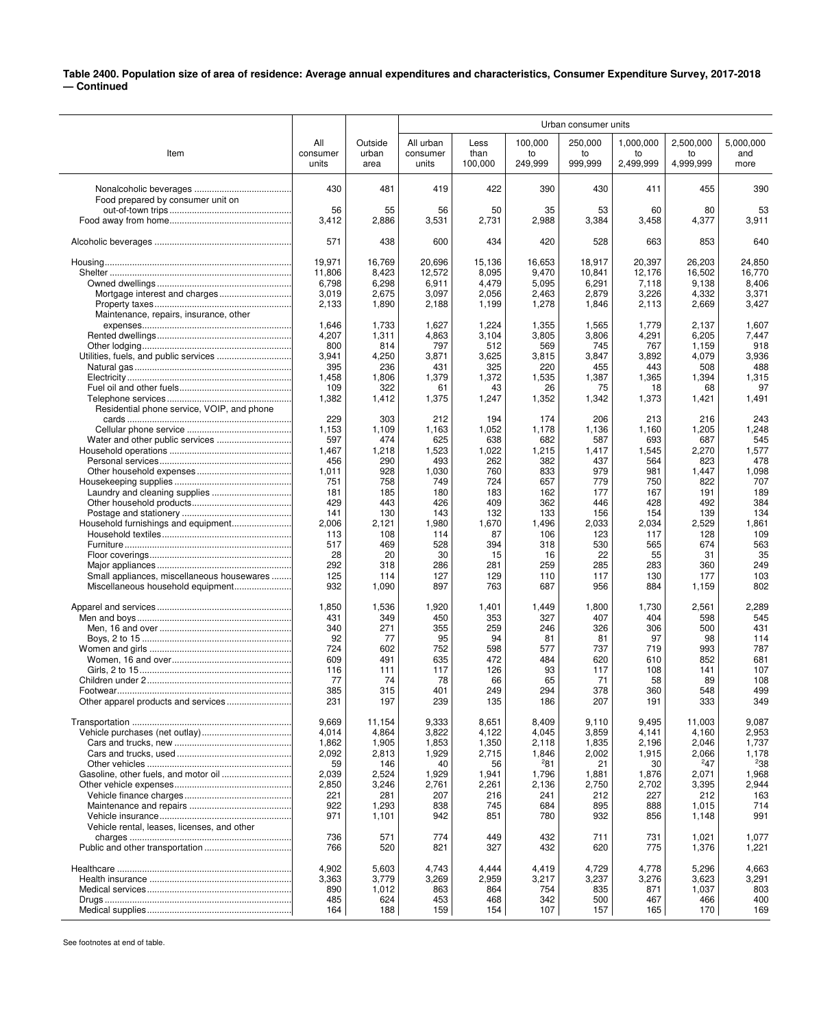## **Table 2400. Population size of area of residence: Average annual expenditures and characteristics, Consumer Expenditure Survey, 2017-2018 — Continued**

|                                             |                |                 | Urban consumer units |                |              |                |              |                |                |
|---------------------------------------------|----------------|-----------------|----------------------|----------------|--------------|----------------|--------------|----------------|----------------|
|                                             | All            | Outside         | All urban            | Less           | 100,000      | 250,000        | 1,000,000    | 2,500,000      | 5,000,000      |
| Item                                        | consumer       | urban           | consumer             | than           | to           | to             | to           | to             | and            |
|                                             | units          | area            | units                | 100,000        | 249,999      | 999,999        | 2,499,999    | 4,999,999      | more           |
|                                             |                |                 |                      |                |              |                |              |                |                |
|                                             | 430            | 481             | 419                  | 422            | 390          | 430            | 411          | 455            | 390            |
| Food prepared by consumer unit on           | 56             | 55              | 56                   | 50             | 35           | 53             | 60           | 80             | 53             |
|                                             | 3,412          | 2,886           | 3,531                | 2,731          | 2,988        | 3,384          | 3,458        | 4,377          | 3,911          |
|                                             |                |                 |                      |                |              |                |              |                |                |
|                                             | 571            | 438             | 600                  | 434            | 420          | 528            | 663          | 853            | 640            |
|                                             | 19,971         | 16,769          | 20,696               | 15,136         | 16,653       | 18,917         | 20,397       | 26,203         | 24,850         |
|                                             | 11,806         | 8,423           | 12,572               | 8,095          | 9,470        | 10,841         | 12,176       | 16,502         | 16,770         |
|                                             | 6,798          | 6,298           | 6,911                | 4,479          | 5,095        | 6,291          | 7,118        | 9,138          | 8,406          |
|                                             | 3,019          | 2,675           | 3,097                | 2,056          | 2,463        | 2,879          | 3,226        | 4,332          | 3,371          |
| Maintenance, repairs, insurance, other      | 2,133          | 1,890           | 2,188                | 1,199          | 1,278        | 1,846          | 2,113        | 2,669          | 3,427          |
|                                             | 1,646          | 1,733           | 1,627                | 1,224          | 1,355        | 1,565          | 1,779        | 2,137          | 1,607          |
|                                             | 4,207          | 1,311           | 4,863                | 3,104          | 3,805        | 3,806          | 4,291        | 6,205          | 7,447          |
|                                             | 800            | 814             | 797                  | 512            | 569          | 745            | 767          | 1,159          | 918            |
|                                             | 3,941          | 4,250           | 3,871                | 3,625          | 3,815        | 3,847          | 3,892        | 4,079          | 3,936          |
|                                             | 395<br>1,458   | 236<br>1,806    | 431<br>1,379         | 325<br>1,372   | 220<br>1,535 | 455<br>1,387   | 443<br>1,365 | 508<br>1,394   | 488<br>1,315   |
|                                             | 109            | 322             | 61                   | 43             | 26           | 75             | 18           | 68             | 97             |
|                                             | 1,382          | 1,412           | 1,375                | 1,247          | 1,352        | 1,342          | 1,373        | 1,421          | 1,491          |
| Residential phone service, VOIP, and phone  |                |                 |                      |                |              |                |              |                |                |
|                                             | 229            | 303             | 212                  | 194            | 174          | 206            | 213          | 216            | 243            |
|                                             | 1,153<br>597   | 1,109           | 1,163                | 1,052          | 1,178        | 1,136          | 1,160        | 1,205          | 1,248          |
| Water and other public services             | 1,467          | 474<br>1,218    | 625<br>1,523         | 638<br>1,022   | 682<br>1,215 | 587<br>1,417   | 693<br>1,545 | 687<br>2,270   | 545<br>1,577   |
|                                             | 456            | 290             | 493                  | 262            | 382          | 437            | 564          | 823            | 478            |
|                                             | 1,011          | 928             | 1,030                | 760            | 833          | 979            | 981          | 1,447          | 1,098          |
|                                             | 751            | 758             | 749                  | 724            | 657          | 779            | 750          | 822            | 707            |
|                                             | 181<br>429     | 185<br>443      | 180<br>426           | 183<br>409     | 162<br>362   | 177<br>446     | 167<br>428   | 191<br>492     | 189<br>384     |
|                                             | 141            | 130             | 143                  | 132            | 133          | 156            | 154          | 139            | 134            |
|                                             | 2,006          | 2,121           | 1,980                | 1,670          | 1,496        | 2,033          | 2,034        | 2,529          | 1,861          |
|                                             | 113            | 108             | 114                  | 87             | 106          | 123            | 117          | 128            | 109            |
|                                             | 517            | 469             | 528                  | 394            | 318          | 530            | 565          | 674            | 563            |
|                                             | 28<br>292      | 20              | 30                   | 15             | 16<br>259    | 22<br>285      | 55           | 31             | 35<br>249      |
| Small appliances, miscellaneous housewares  | 125            | 318<br>114      | 286<br>127           | 281<br>129     | 110          | 117            | 283<br>130   | 360<br>177     | 103            |
| Miscellaneous household equipment           | 932            | 1,090           | 897                  | 763            | 687          | 956            | 884          | 1,159          | 802            |
|                                             |                |                 |                      |                |              |                |              |                |                |
|                                             | 1,850<br>431   | 1,536<br>349    | 1,920<br>450         | 1,401<br>353   | 1,449<br>327 | 1,800<br>407   | 1,730<br>404 | 2,561<br>598   | 2,289<br>545   |
|                                             | 340            | 271             | 355                  | 259            | 246          | 326            | 306          | 500            | 431            |
|                                             | 92             | 77              | 95                   | 94             | 81           | 81             | 97           | 98             | 114            |
|                                             | 724            | 602             | 752                  | 598            | 577          | 737            | 719          | 993            | 787            |
|                                             | 609            | 491             | 635                  | 472            | 484          | 620            | 610          | 852            | 681            |
|                                             | 116<br>77      | 111<br>74       | 117<br>78            | 126<br>66      | 93<br>65     | 117<br>71      | 108<br>58    | 141<br>89      | 107<br>108     |
|                                             | 385            | 315             | 401                  | 249            | 294          | 378            | 360          | 548            | 499            |
|                                             | 231            | 197             | 239                  | 135            | 186          | 207            | 191          | 333            | 349            |
|                                             |                |                 |                      |                | 8,409        |                | 9,495        | 11,003         | 9,087          |
|                                             | 9,669<br>4,014 | 11,154<br>4,864 | 9,333<br>3,822       | 8,651<br>4,122 | 4.045        | 9,110<br>3,859 | 4,141        | 4,160          | 2,953          |
|                                             | 1,862          | 1,905           | 1,853                | 1,350          | 2,118        | 1,835          | 2,196        | 2,046          | 1,737          |
|                                             | 2,092          | 2,813           | 1,929                | 2,715          | 1,846        | 2,002          | 1,915        | 2,066          | 1,178          |
|                                             | 59             | 146             | 40                   | 56             | 281          | 21             | 30           | 247            | 238            |
|                                             | 2,039          | 2,524           | 1,929                | 1,941          | 1,796        | 1,881          | 1,876        | 2,071          | 1,968          |
|                                             | 2,850<br>221   | 3,246<br>281    | 2,761<br>207         | 2,261<br>216   | 2,136<br>241 | 2,750<br>212   | 2,702<br>227 | 3,395<br>212   | 2,944<br>163   |
|                                             | 922            | 1,293           | 838                  | 745            | 684          | 895            | 888          | 1,015          | 714            |
|                                             | 971            | 1,101           | 942                  | 851            | 780          | 932            | 856          | 1,148          | 991            |
| Vehicle rental, leases, licenses, and other |                |                 |                      |                |              |                |              |                |                |
|                                             | 736<br>766     | 571<br>520      | 774<br>821           | 449<br>327     | 432<br>432   | 711<br>620     | 731<br>775   | 1,021<br>1,376 | 1,077<br>1,221 |
|                                             |                |                 |                      |                |              |                |              |                |                |
|                                             | 4,902          | 5,603           | 4,743                | 4,444          | 4,419        | 4,729          | 4,778        | 5,296          | 4,663          |
|                                             | 3,363          | 3,779           | 3,269                | 2,959          | 3,217        | 3,237          | 3,276        | 3,623          | 3,291          |
|                                             | 890<br>485     | 1,012<br>624    | 863<br>453           | 864<br>468     | 754<br>342   | 835<br>500     | 871<br>467   | 1,037<br>466   | 803<br>400     |
|                                             | 164            | 188             | 159                  | 154            | 107          | 157            | 165          | 170            | 169            |
|                                             |                |                 |                      |                |              |                |              |                |                |

See footnotes at end of table.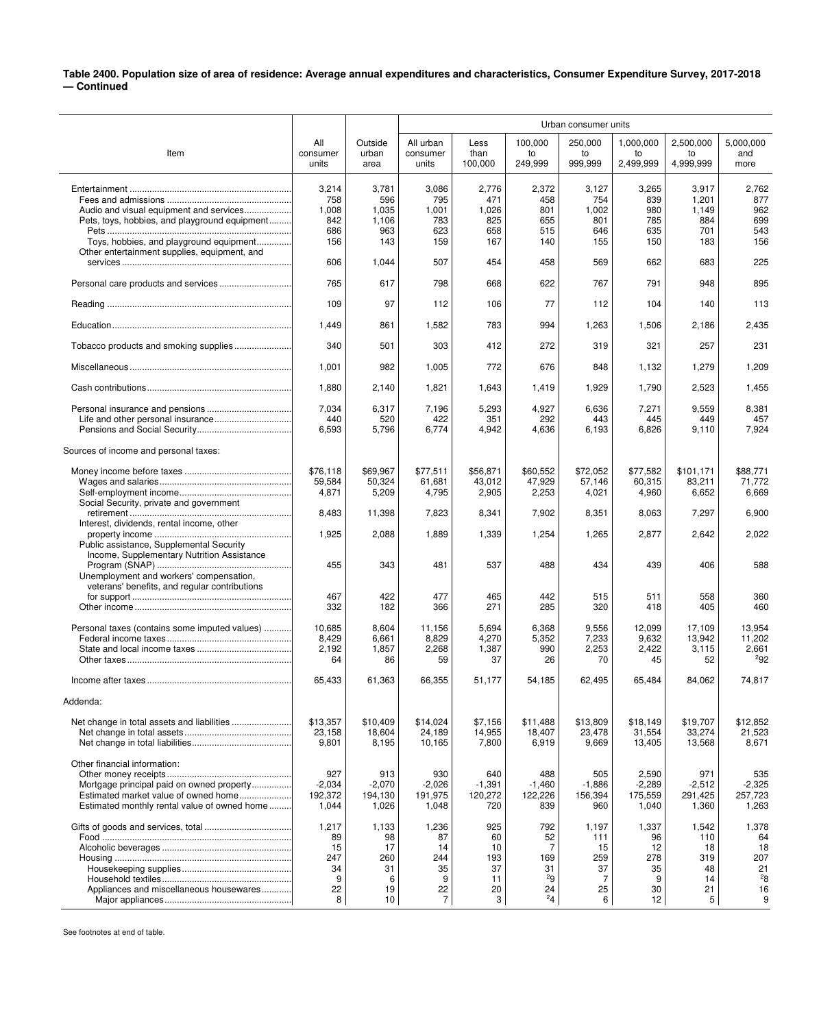## **Table 2400. Population size of area of residence: Average annual expenditures and characteristics, Consumer Expenditure Survey, 2017-2018 — Continued**

|                                                                                                                                                                   |                                                |                                                 | Urban consumer units                                        |                                               |                                                    |                                                 |                                                 |                                                  |                                                 |
|-------------------------------------------------------------------------------------------------------------------------------------------------------------------|------------------------------------------------|-------------------------------------------------|-------------------------------------------------------------|-----------------------------------------------|----------------------------------------------------|-------------------------------------------------|-------------------------------------------------|--------------------------------------------------|-------------------------------------------------|
| Item                                                                                                                                                              | All<br>consumer<br>units                       | Outside<br>urban<br>area                        | All urban<br>consumer<br>units                              | Less<br>than<br>100,000                       | 100,000<br>to<br>249,999                           | 250,000<br>to<br>999,999                        | 1,000,000<br>to<br>2,499,999                    | 2,500,000<br>to<br>4,999,999                     | 5,000,000<br>and<br>more                        |
| Audio and visual equipment and services                                                                                                                           | 3,214<br>758<br>1,008                          | 3,781<br>596<br>1,035                           | 3,086<br>795<br>1,001                                       | 2,776<br>471<br>1,026                         | 2,372<br>458<br>801                                | 3,127<br>754<br>1,002                           | 3,265<br>839<br>980                             | 3,917<br>1,201<br>1,149                          | 2,762<br>877<br>962                             |
| Pets, toys, hobbies, and playground equipment<br>Toys, hobbies, and playground equipment<br>Other entertainment supplies, equipment, and                          | 842<br>686<br>156                              | 1,106<br>963<br>143                             | 783<br>623<br>159                                           | 825<br>658<br>167                             | 655<br>515<br>140                                  | 801<br>646<br>155                               | 785<br>635<br>150                               | 884<br>701<br>183                                | 699<br>543<br>156                               |
|                                                                                                                                                                   | 606                                            | 1,044                                           | 507                                                         | 454                                           | 458                                                | 569                                             | 662                                             | 683                                              | 225                                             |
|                                                                                                                                                                   | 765                                            | 617                                             | 798                                                         | 668                                           | 622                                                | 767                                             | 791                                             | 948                                              | 895                                             |
|                                                                                                                                                                   | 109                                            | 97                                              | 112                                                         | 106                                           | 77                                                 | 112                                             | 104                                             | 140                                              | 113                                             |
|                                                                                                                                                                   | 1,449                                          | 861                                             | 1,582                                                       | 783                                           | 994                                                | 1,263                                           | 1,506                                           | 2,186                                            | 2,435                                           |
| Tobacco products and smoking supplies                                                                                                                             | 340                                            | 501                                             | 303                                                         | 412                                           | 272                                                | 319                                             | 321                                             | 257                                              | 231                                             |
|                                                                                                                                                                   | 1,001                                          | 982                                             | 1,005                                                       | 772                                           | 676                                                | 848                                             | 1,132                                           | 1,279                                            | 1,209                                           |
|                                                                                                                                                                   | 1,880                                          | 2,140                                           | 1,821                                                       | 1,643                                         | 1,419                                              | 1,929                                           | 1,790                                           | 2,523                                            | 1,455                                           |
|                                                                                                                                                                   | 7,034<br>440<br>6,593                          | 6,317<br>520<br>5,796                           | 7,196<br>422<br>6,774                                       | 5,293<br>351<br>4,942                         | 4,927<br>292<br>4,636                              | 6,636<br>443<br>6,193                           | 7,271<br>445<br>6,826                           | 9,559<br>449<br>9,110                            | 8,381<br>457<br>7,924                           |
| Sources of income and personal taxes:                                                                                                                             |                                                |                                                 |                                                             |                                               |                                                    |                                                 |                                                 |                                                  |                                                 |
| Social Security, private and government                                                                                                                           | \$76,118<br>59,584<br>4,871                    | \$69,967<br>50.324<br>5,209                     | \$77,511<br>61,681<br>4,795                                 | \$56,871<br>43.012<br>2,905                   | \$60,552<br>47,929<br>2,253                        | \$72,052<br>57,146<br>4,021                     | \$77,582<br>60,315<br>4,960                     | \$101.171<br>83,211<br>6,652                     | \$88,771<br>71,772<br>6,669                     |
| Interest, dividends, rental income, other                                                                                                                         | 8,483                                          | 11,398                                          | 7,823                                                       | 8,341                                         | 7,902                                              | 8,351                                           | 8,063                                           | 7,297                                            | 6,900                                           |
| Public assistance, Supplemental Security<br>Income, Supplementary Nutrition Assistance                                                                            | 1,925                                          | 2,088                                           | 1,889                                                       | 1,339                                         | 1,254                                              | 1,265                                           | 2,877                                           | 2,642                                            | 2,022                                           |
| Unemployment and workers' compensation,<br>veterans' benefits, and regular contributions                                                                          | 455                                            | 343                                             | 481                                                         | 537                                           | 488                                                | 434                                             | 439                                             | 406                                              | 588                                             |
|                                                                                                                                                                   | 467<br>332                                     | 422<br>182                                      | 477<br>366                                                  | 465<br>271                                    | 442<br>285                                         | 515<br>320                                      | 511<br>418                                      | 558<br>405                                       | 360<br>460                                      |
| Personal taxes (contains some imputed values)                                                                                                                     | 10,685<br>8,429<br>2,192<br>64                 | 8,604<br>6,661<br>1,857<br>86                   | 11,156<br>8,829<br>2,268<br>59                              | 5,694<br>4,270<br>1,387<br>37                 | 6,368<br>5,352<br>990<br>26                        | 9,556<br>7,233<br>2,253<br>70                   | 12,099<br>9,632<br>2,422<br>45                  | 17,109<br>13,942<br>3,115<br>52                  | 13,954<br>11,202<br>2,661<br>292                |
|                                                                                                                                                                   | 65,433                                         | 61,363                                          | 66,355                                                      | 51,177                                        | 54,185                                             | 62,495                                          | 65,484                                          | 84,062                                           | 74,817                                          |
| Addenda:                                                                                                                                                          |                                                |                                                 |                                                             |                                               |                                                    |                                                 |                                                 |                                                  |                                                 |
|                                                                                                                                                                   | \$13,357<br>23,158<br>9,801                    | \$10,409<br>18,604<br>8,195                     | \$14.024<br>24,189<br>10,165                                | \$7,156<br>14,955<br>7,800                    | \$11,488<br>18,407<br>6,919                        | \$13,809<br>23,478<br>9,669                     | \$18,149<br>31,554<br>13,405                    | \$19,707<br>33,274<br>13,568                     | \$12,852<br>21,523<br>8,671                     |
| Other financial information:<br>Mortgage principal paid on owned property<br>Estimated market value of owned home<br>Estimated monthly rental value of owned home | 927<br>$-2,034$<br>192,372<br>1,044            | 913<br>$-2,070$<br>194,130<br>1,026             | 930<br>$-2,026$<br>191,975<br>1,048                         | 640<br>$-1,391$<br>120,272<br>720             | 488<br>$-1,460$<br>122,226<br>839                  | 505<br>$-1,886$<br>156,394<br>960               | 2,590<br>-2,289<br>175,559<br>1,040             | 971<br>$-2,512$<br>291,425<br>1,360              | 535<br>-2,325<br>257,723<br>1,263               |
| Appliances and miscellaneous housewares                                                                                                                           | 1,217<br>89<br>15<br>247<br>34<br>9<br>22<br>8 | 1,133<br>98<br>17<br>260<br>31<br>6<br>19<br>10 | 1,236<br>87<br>14<br>244<br>35<br>9<br>22<br>$\overline{7}$ | 925<br>60<br>10<br>193<br>37<br>11<br>20<br>3 | 792<br>52<br>7<br>169<br>31<br>29<br>24<br>$^{2}4$ | 1,197<br>111<br>15<br>259<br>37<br>7<br>25<br>6 | 1,337<br>96<br>12<br>278<br>35<br>9<br>30<br>12 | 1,542<br>110<br>18<br>319<br>48<br>14<br>21<br>5 | 1,378<br>64<br>18<br>207<br>21<br>28<br>16<br>9 |

See footnotes at end of table.